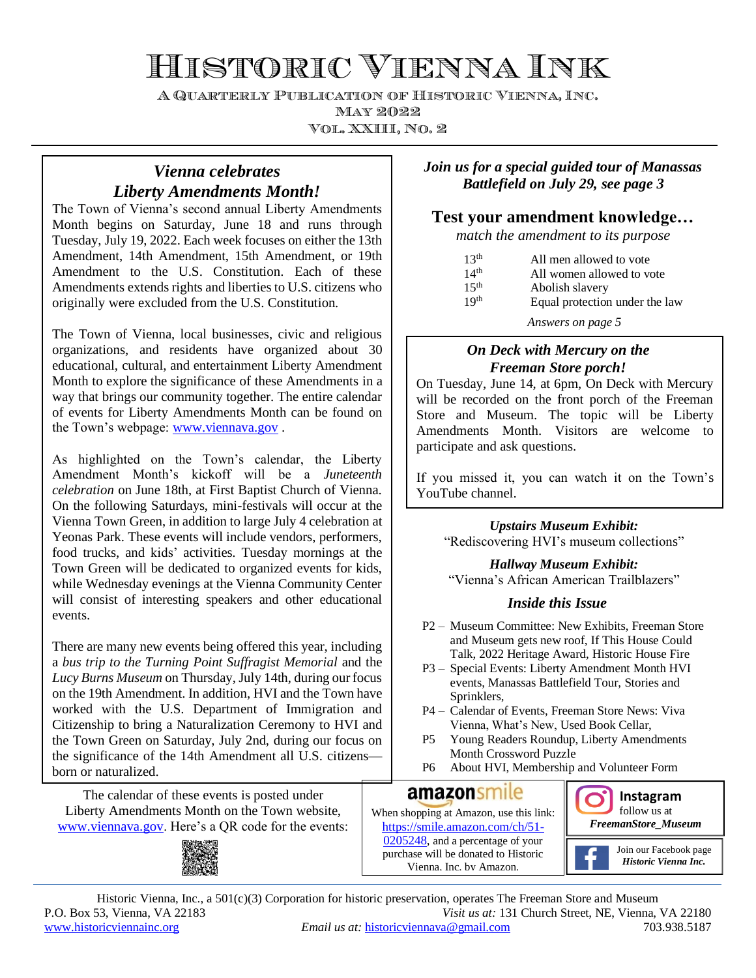# HISTORIC VIENNA INK

A QUARTERLY PUBLICATION OF HISTORIC VIENNA, INC. **MAY 2022** VOL. XXIII, NO. 2

# *Vienna celebrates Liberty Amendments Month!*

The Town of Vienna's second annual Liberty Amendments Month begins on Saturday, June 18 and runs through Tuesday, July 19, 2022. Each week focuses on either the 13th Amendment, 14th Amendment, 15th Amendment, or 19th Amendment to the U.S. Constitution. Each of these Amendments extends rights and liberties to U.S. citizens who originally were excluded from the U.S. Constitution.

The Town of Vienna, local businesses, civic and religious organizations, and residents have organized about 30 educational, cultural, and entertainment Liberty Amendment Month to explore the significance of these Amendments in a way that brings our community together. The entire calendar of events for Liberty Amendments Month can be found on the Town's webpage: [www.viennava.gov](about:blank).

As highlighted on the Town's calendar, the Liberty Amendment Month's kickoff will be a *Juneteenth celebration* on June 18th, at First Baptist Church of Vienna. On the following Saturdays, mini-festivals will occur at the Vienna Town Green, in addition to large July 4 celebration at Yeonas Park. These events will include vendors, performers, food trucks, and kids' activities. Tuesday mornings at the Town Green will be dedicated to organized events for kids, while Wednesday evenings at the Vienna Community Center will consist of interesting speakers and other educational events.

There are many new events being offered this year, including a *bus trip to the Turning Point Suffragist Memorial* and the *Lucy Burns Museum* on Thursday, July 14th, during our focus on the 19th Amendment. In addition, HVI and the Town have worked with the U.S. Department of Immigration and Citizenship to bring a Naturalization Ceremony to HVI and the Town Green on Saturday, July 2nd, during our focus on the significance of the 14th Amendment all U.S. citizens born or naturalized.

The calendar of these events is posted under Liberty Amendments Month on the Town website, [www.viennava.gov.](about:blank) Here's a QR code for the events:



*Join us for a special guided tour of Manassas Battlefield on July 29, see page 3*

### **Test your amendment knowledge…**

*match the amendment to its purpose*

| 13 <sup>th</sup>  | All men allowed to vote        |
|-------------------|--------------------------------|
| 14 <sup>th</sup>  | All women allowed to vote      |
| $1.5^{\text{th}}$ | Abolish slavery                |
| 19 <sup>th</sup>  | Equal protection under the law |
|                   |                                |

*Answers on page 5*

### *On Deck with Mercury on the Freeman Store porch!*

On Tuesday, June 14, at 6pm, On Deck with Mercury will be recorded on the front porch of the Freeman Store and Museum. The topic will be Liberty Amendments Month. Visitors are welcome to participate and ask questions.

If you missed it, you can watch it on the Town's YouTube channel.

*Upstairs Museum Exhibit:* "Rediscovering HVI's museum collections"

### *Hallway Museum Exhibit:*

"Vienna's African American Trailblazers"

### *Inside this Issue*

- P2 Museum Committee: New Exhibits, Freeman Store and Museum gets new roof, If This House Could Talk, 2022 Heritage Award, Historic House Fire
- P3 Special Events: Liberty Amendment Month HVI events, Manassas Battlefield Tour, Stories and Sprinklers,
- P4 Calendar of Events, Freeman Store News: Viva Vienna, What's New, Used Book Cellar,
- P5 Young Readers Roundup, Liberty Amendments Month Crossword Puzzle
- P6 About HVI, Membership and Volunteer Form

# amazonsmile

When shopping at Amazon, use this link: [https://smile.amazon.com/ch/51-](about:blank) [0205248,](about:blank) and a percentage of your purchase will be donated to Historic Vienna, Inc. by Amazon.



Join our Facebook page *Historic Vienna Inc.*

Historic Vienna, Inc., a 501(c)(3) Corporation for historic preservation, operates The Freeman Store and Museum P.O. Box 53, Vienna, VA 22183 *Visit us at:* 131 Church Street, NE, Vienna, VA 22180 [www.historicviennainc.org](about:blank) *Email us at:* [historicviennava@gmail.com](about:blank) 703.938.5187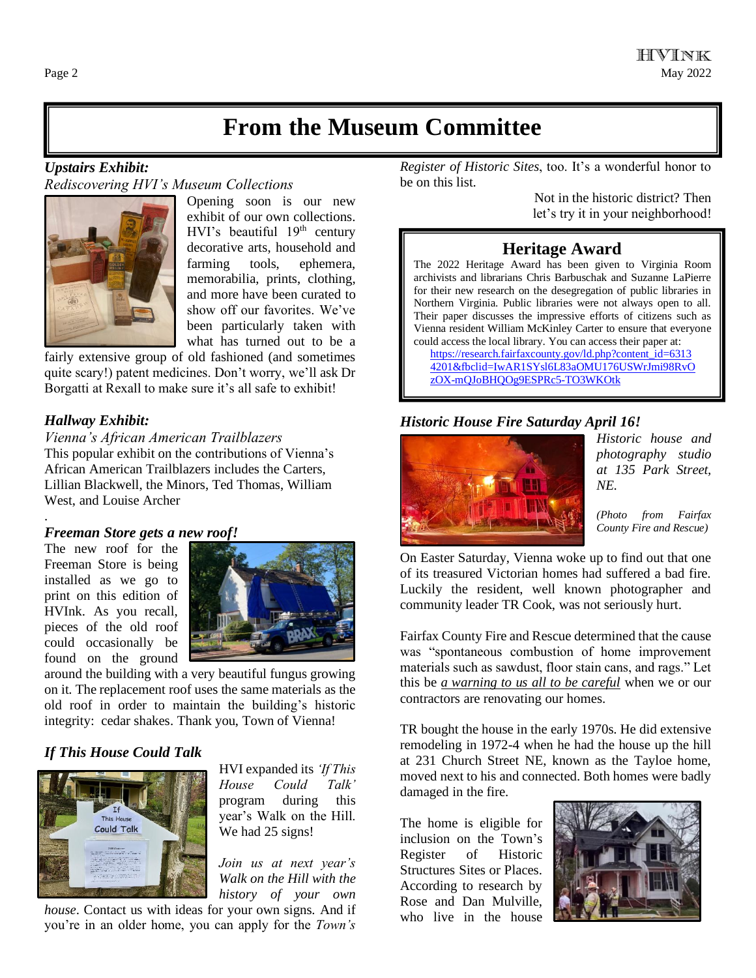# **From the Museum Committee**

# *Upstairs Exhibit:*

*Rediscovering HVI's Museum Collections*



Opening soon is our new exhibit of our own collections. HVI's beautiful  $19<sup>th</sup>$  century decorative arts, household and farming tools, ephemera, memorabilia, prints, clothing, and more have been curated to show off our favorites. We've been particularly taken with what has turned out to be a

fairly extensive group of old fashioned (and sometimes quite scary!) patent medicines. Don't worry, we'll ask Dr Borgatti at Rexall to make sure it's all safe to exhibit!

#### *Hallway Exhibit:*

.

*Vienna's African American Trailblazers* This popular exhibit on the contributions of Vienna's African American Trailblazers includes the Carters, Lillian Blackwell, the Minors, Ted Thomas, William West, and Louise Archer

#### *Freeman Store gets a new roof!*

The new roof for the Freeman Store is being installed as we go to print on this edition of HVInk. As you recall, pieces of the old roof could occasionally be found on the ground



around the building with a very beautiful fungus growing on it. The replacement roof uses the same materials as the old roof in order to maintain the building's historic integrity: cedar shakes. Thank you, Town of Vienna!

### *If This House Could Talk*



HVI expanded its *'If This House Could Talk'* program during this year's Walk on the Hill. We had 25 signs!

*Join us at next year's Walk on the Hill with the history of your own* 

*house*. Contact us with ideas for your own signs. And if you're in an older home, you can apply for the *Town's* 

*Register of Historic Sites*, too. It's a wonderful honor to be on this list.

> Not in the historic district? Then let's try it in your neighborhood!

### **Heritage Award**

The 2022 Heritage Award has been given to Virginia Room archivists and librarians Chris Barbuschak and Suzanne LaPierre for their new research on the desegregation of public libraries in Northern Virginia. Public libraries were not always open to all. Their paper discusses the impressive efforts of citizens such as Vienna resident William McKinley Carter to ensure that everyone could access the local library. You can access their paper at:

[https://research.fairfaxcounty.gov/ld.php?content\\_id=6313](about:blank) [4201&fbclid=IwAR1SYsl6L83aOMU176USWrJmi98RvO](about:blank) [zOX-mQJoBHQOg9ESPRc5-TO3WKOtk](about:blank)

#### *Historic House Fire Saturday April 16!*



*Historic house and photography studio at 135 Park Street, NE.*

*(Photo from Fairfax County Fire and Rescue)*

On Easter Saturday, Vienna woke up to find out that one of its treasured Victorian homes had suffered a bad fire. Luckily the resident, well known photographer and community leader TR Cook, was not seriously hurt.

Fairfax County Fire and Rescue determined that the cause was "spontaneous combustion of home improvement materials such as sawdust, floor stain cans, and rags." Let this be *a warning to us all to be careful* when we or our contractors are renovating our homes.

TR bought the house in the early 1970s. He did extensive remodeling in 1972-4 when he had the house up the hill at 231 Church Street NE, known as the Tayloe home, moved next to his and connected. Both homes were badly damaged in the fire.

The home is eligible for inclusion on the Town's Register of Historic Structures Sites or Places. According to research by Rose and Dan Mulville, who live in the house

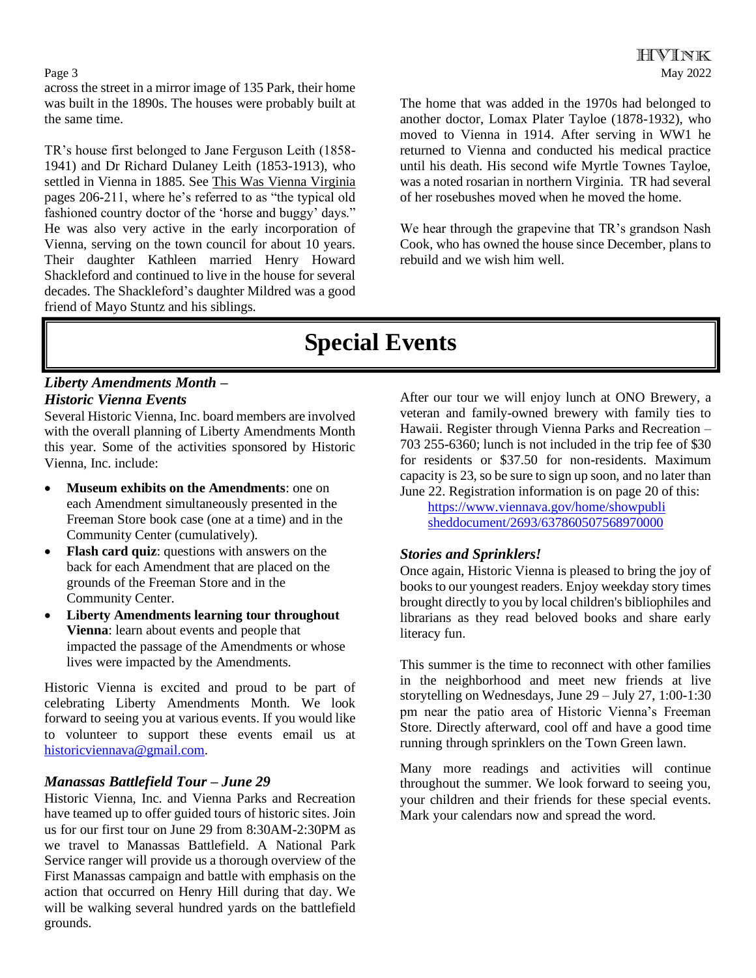across the street in a mirror image of 135 Park, their home was built in the 1890s. The houses were probably built at the same time.

TR's house first belonged to Jane Ferguson Leith (1858- 1941) and Dr Richard Dulaney Leith (1853-1913), who settled in Vienna in 1885. See This Was Vienna Virginia pages 206-211, where he's referred to as "the typical old fashioned country doctor of the 'horse and buggy' days." He was also very active in the early incorporation of Vienna, serving on the town council for about 10 years. Their daughter Kathleen married Henry Howard Shackleford and continued to live in the house for several decades. The Shackleford's daughter Mildred was a good friend of Mayo Stuntz and his siblings.

The home that was added in the 1970s had belonged to another doctor, Lomax Plater Tayloe (1878-1932), who moved to Vienna in 1914. After serving in WW1 he returned to Vienna and conducted his medical practice until his death. His second wife Myrtle Townes Tayloe, was a noted rosarian in northern Virginia. TR had several of her rosebushes moved when he moved the home.

We hear through the grapevine that TR's grandson Nash Cook, who has owned the house since December, plans to rebuild and we wish him well.

# **Special Events**

#### *Liberty Amendments Month – Historic Vienna Events*

Several Historic Vienna, Inc. board members are involved with the overall planning of Liberty Amendments Month this year. Some of the activities sponsored by Historic Vienna, Inc. include:

- **Museum exhibits on the Amendments**: one on each Amendment simultaneously presented in the Freeman Store book case (one at a time) and in the Community Center (cumulatively).
- **Flash card quiz**: questions with answers on the back for each Amendment that are placed on the grounds of the Freeman Store and in the Community Center.
- **Liberty Amendments learning tour throughout Vienna**: learn about events and people that impacted the passage of the Amendments or whose lives were impacted by the Amendments.

Historic Vienna is excited and proud to be part of celebrating Liberty Amendments Month. We look forward to seeing you at various events. If you would like to volunteer to support these events email us at [historicviennava@gmail.com.](about:blank)

### *Manassas Battlefield Tour – June 29*

Historic Vienna, Inc. and Vienna Parks and Recreation have teamed up to offer guided tours of historic sites. Join us for our first tour on June 29 from 8:30AM-2:30PM as we travel to Manassas Battlefield. A National Park Service ranger will provide us a thorough overview of the First Manassas campaign and battle with emphasis on the action that occurred on Henry Hill during that day. We will be walking several hundred yards on the battlefield grounds.

After our tour we will enjoy lunch at ONO Brewery, a veteran and family-owned brewery with family ties to Hawaii. Register through Vienna Parks and Recreation – 703 255-6360; lunch is not included in the trip fee of \$30 for residents or \$37.50 for non-residents. Maximum capacity is 23, so be sure to sign up soon, and no later than June 22. Registration information is on page 20 of this:

https://www.viennava.gov/home/showpubli sheddocument/2693/637860507568970000

#### *Stories and Sprinklers!*

Once again, Historic Vienna is pleased to bring the joy of books to our youngest readers. Enjoy weekday story times brought directly to you by local children's bibliophiles and librarians as they read beloved books and share early literacy fun.

This summer is the time to reconnect with other families in the neighborhood and meet new friends at live storytelling on Wednesdays, June 29 – July 27, 1:00-1:30 pm near the patio area of Historic Vienna's Freeman Store. Directly afterward, cool off and have a good time running through sprinklers on the Town Green lawn.

Many more readings and activities will continue throughout the summer. We look forward to seeing you, your children and their friends for these special events. Mark your calendars now and spread the word.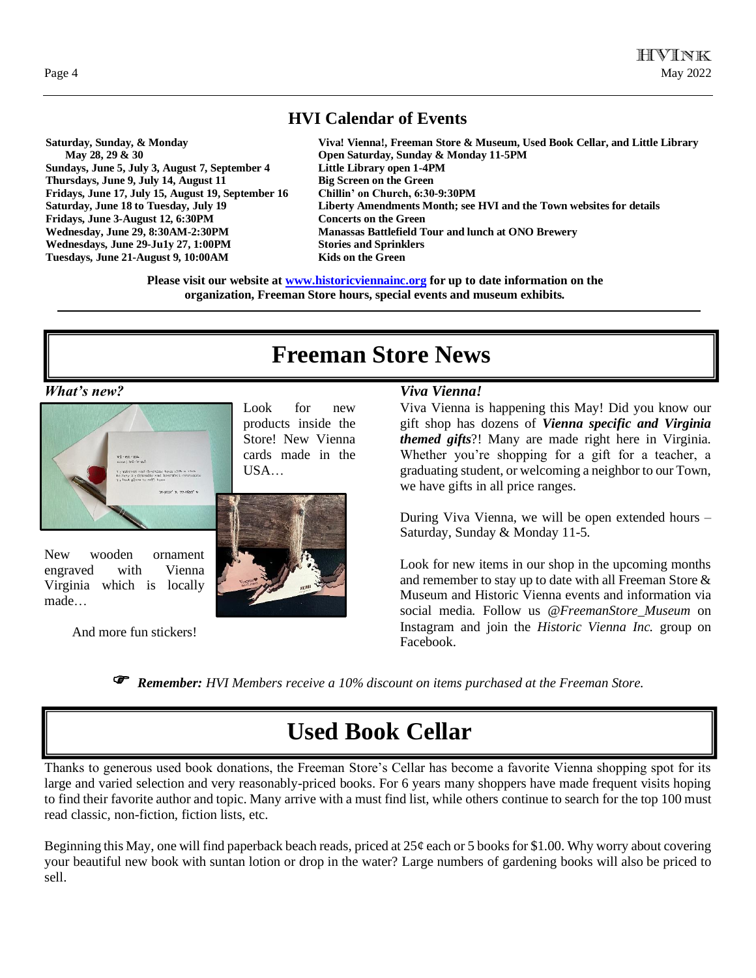# **HVI Calendar of Events**

**Viva! Vienna!, Freeman Store & Museum, Used Book Cellar, and Little Library Open Saturday, Sunday & Monday 11-5PM Sundays, June 5, July 3, August 7, September 4 Little Library open 1-4PM Fridays, June 17, July 15, August 19, September 16 Chillin' on Church, 6:30-9:30PM Saturday, June 18 to Tuesday, July 19 Liberty Amendments Month; see HVI and the Town websites for details Fridays, June 3-August 12, 6:30PM Concerts on the Green Wednesday, June 29, 8:30AM-2:30PM Manassas Battlefield Tour and lunch at ONO Brewery Wednesdays, June 29-Ju1y 27, 1:00PM Stories and Sprinklers Tuesdays, June 21-August 9, 10:00AM Kids on the Green**

> **Please visit our website at [www.historicviennainc.org](about:blank) for up to date information on the organization, Freeman Store hours, special events and museum exhibits.**

# **Freeman Store News**

#### *What's new?*



Look for new products inside the Store! New Vienna cards made in the USA…

New wooden ornament engraved with Vienna Virginia which is locally made…

And more fun stickers!

#### *Viva Vienna!*

Viva Vienna is happening this May! Did you know our gift shop has dozens of *Vienna specific and Virginia themed gifts*?! Many are made right here in Virginia. Whether you're shopping for a gift for a teacher, a graduating student, or welcoming a neighbor to our Town, we have gifts in all price ranges.

During Viva Vienna, we will be open extended hours – Saturday, Sunday & Monday 11-5.

Look for new items in our shop in the upcoming months and remember to stay up to date with all Freeman Store & Museum and Historic Vienna events and information via social media. Follow us *@FreemanStore\_Museum* on Instagram and join the *Historic Vienna Inc.* group on Facebook.

 *Remember: HVI Members receive a 10% discount on items purchased at the Freeman Store.*

# **Used Book Cellar**

Thanks to generous used book donations, the Freeman Store's Cellar has become a favorite Vienna shopping spot for its large and varied selection and very reasonably-priced books. For 6 years many shoppers have made frequent visits hoping to find their favorite author and topic. Many arrive with a must find list, while others continue to search for the top 100 must read classic, non-fiction, fiction lists, etc.

Beginning this May, one will find paperback beach reads, priced at  $25¢$  each or 5 books for \$1.00. Why worry about covering your beautiful new book with suntan lotion or drop in the water? Large numbers of gardening books will also be priced to sell.

**Saturday, Sunday, & Monday May 28, 29 & 30**

**Thursdays, June 9, July 14, August 11**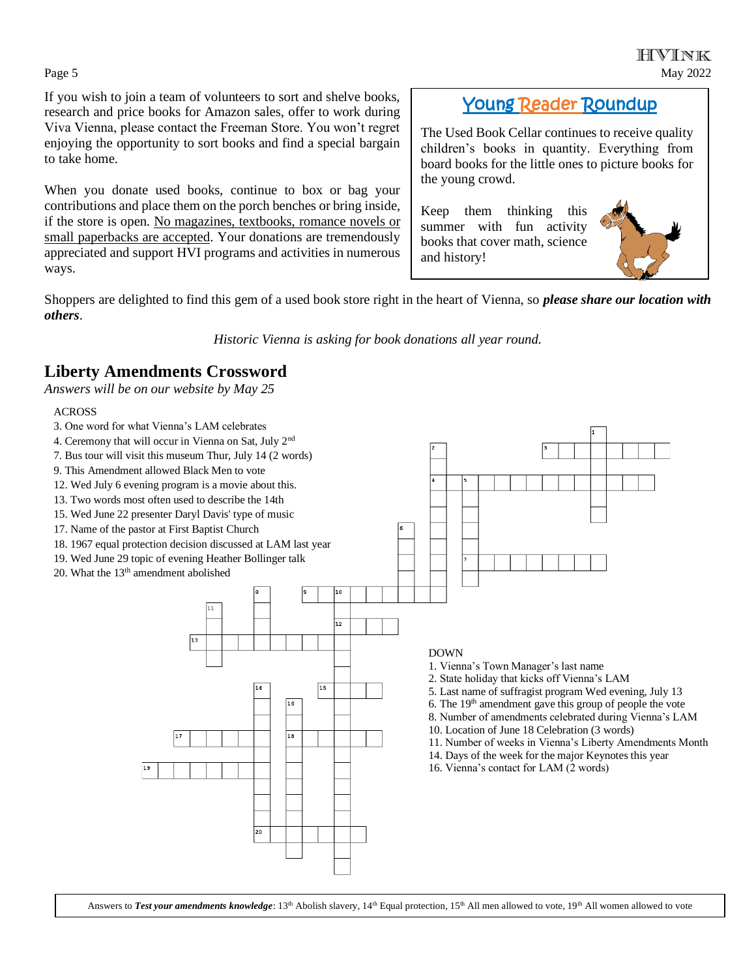#### HVINK Page 5 May 2022

If you wish to join a team of volunteers to sort and shelve books, research and price books for Amazon sales, offer to work during Viva Vienna, please contact the Freeman Store. You won't regret enjoying the opportunity to sort books and find a special bargain to take home.

When you donate used books, continue to box or bag your contributions and place them on the porch benches or bring inside, if the store is open. No magazines, textbooks, romance novels or small paperbacks are accepted. Your donations are tremendously appreciated and support HVI programs and activities in numerous ways.

# Young Reader Roundup

The Used Book Cellar continues to receive quality children's books in quantity. Everything from board books for the little ones to picture books for the young crowd.

Keep them thinking this summer with fun activity books that cover math, science and history!



Shoppers are delighted to find this gem of a used book store right in the heart of Vienna, so *please share our location with others*.

*Historic Vienna is asking for book donations all year round.*

# **Liberty Amendments Crossword**

*Answers will be on our website by May 25* 

#### **ACROSS**



Answers to *Test your amendments knowledge*: 13<sup>th</sup> Abolish slavery, 14<sup>th</sup> Equal protection, 15<sup>th</sup> All men allowed to vote, 19<sup>th</sup> All women allowed to vote